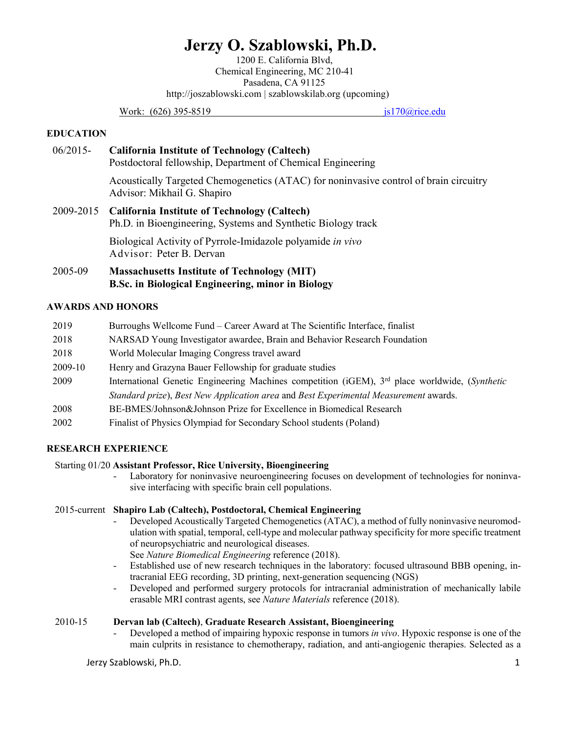# **Jerzy O. Szablowski, Ph.D.**

1200 E. California Blvd, Chemical Engineering, MC 210-41 Pasadena, CA 91125 http://joszablowski.com | szablowskilab.org (upcoming)

Work: (626) 395-8519 **[js170@rice.edu](mailto:js170@rice.edu)** 

## **EDUCATION**

06/2015- **California Institute of Technology (Caltech)** Postdoctoral fellowship, Department of Chemical Engineering Acoustically Targeted Chemogenetics (ATAC) for noninvasive control of brain circuitry Advisor: Mikhail G. Shapiro 2009-2015 **California Institute of Technology (Caltech)** Ph.D. in Bioengineering, Systems and Synthetic Biology track Biological Activity of Pyrrole-Imidazole polyamide *in vivo* Advisor: Peter B. Dervan

2005-09 **Massachusetts Institute of Technology (MIT) B.Sc. in Biological Engineering, minor in Biology**

## **AWARDS AND HONORS**

| 2019    | Burroughs Wellcome Fund - Career Award at The Scientific Interface, finalist                               |
|---------|------------------------------------------------------------------------------------------------------------|
| 2018    | NARSAD Young Investigator awardee, Brain and Behavior Research Foundation                                  |
| 2018    | World Molecular Imaging Congress travel award                                                              |
| 2009-10 | Henry and Grazyna Bauer Fellowship for graduate studies                                                    |
| 2009    | International Genetic Engineering Machines competition (iGEM), 3 <sup>rd</sup> place worldwide, (Synthetic |
|         | Standard prize), Best New Application area and Best Experimental Measurement awards.                       |
| 2008    | BE-BMES/Johnson&Johnson Prize for Excellence in Biomedical Research                                        |
| 2002    | Finalist of Physics Olympiad for Secondary School students (Poland)                                        |

## **RESEARCH EXPERIENCE**

#### Starting 01/20 **Assistant Professor, Rice University, Bioengineering**

- Laboratory for noninvasive neuroengineering focuses on development of technologies for noninvasive interfacing with specific brain cell populations.

# 2015-current **Shapiro Lab (Caltech), Postdoctoral, Chemical Engineering**

- Developed Acoustically Targeted Chemogenetics (ATAC), a method of fully noninvasive neuromodulation with spatial, temporal, cell-type and molecular pathway specificity for more specific treatment of neuropsychiatric and neurological diseases.
	- See *Nature Biomedical Engineering* reference (2018).
- Established use of new research techniques in the laboratory: focused ultrasound BBB opening, intracranial EEG recording, 3D printing, next-generation sequencing (NGS)
- Developed and performed surgery protocols for intracranial administration of mechanically labile erasable MRI contrast agents, see *Nature Materials* reference (2018).

#### 2010-15 **Dervan lab (Caltech)**, **Graduate Research Assistant, Bioengineering**

- Developed a method of impairing hypoxic response in tumors *in vivo*. Hypoxic response is one of the main culprits in resistance to chemotherapy, radiation, and anti-angiogenic therapies. Selected as a

Jerzy Szablowski, Ph.D. 1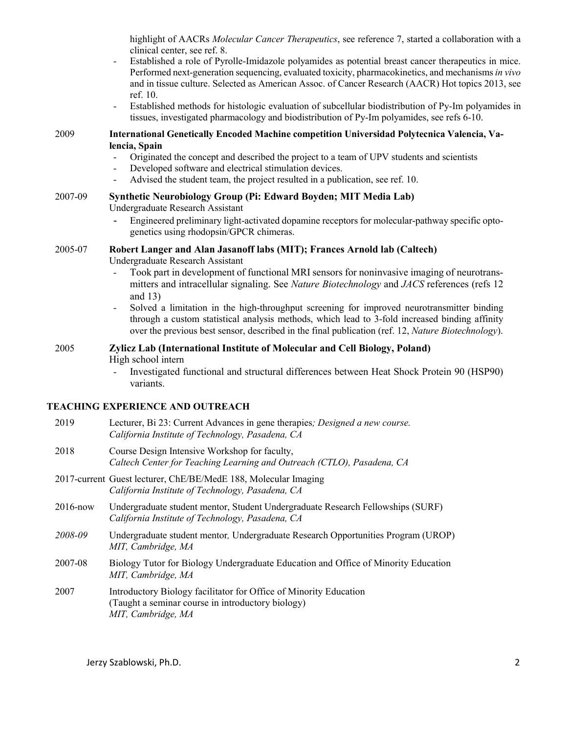highlight of AACRs *Molecular Cancer Therapeutics*, see reference 7, started a collaboration with a clinical center, see ref. 8.

- Established a role of Pyrolle-Imidazole polyamides as potential breast cancer therapeutics in mice. Performed next-generation sequencing, evaluated toxicity, pharmacokinetics, and mechanisms *in vivo* and in tissue culture. Selected as American Assoc. of Cancer Research (AACR) Hot topics 2013, see ref. 10.
- Established methods for histologic evaluation of subcellular biodistribution of Py-Im polyamides in tissues, investigated pharmacology and biodistribution of Py-Im polyamides, see refs 6-10.

#### 2009 **International Genetically Encoded Machine competition Universidad Polytecnica Valencia, Valencia, Spain**

- Originated the concept and described the project to a team of UPV students and scientists
- Developed software and electrical stimulation devices.
- Advised the student team, the project resulted in a publication, see ref. 10.

## 2007-09 **Synthetic Neurobiology Group (Pi: Edward Boyden; MIT Media Lab)** Undergraduate Research Assistant

- Engineered preliminary light-activated dopamine receptors for molecular-pathway specific optogenetics using rhodopsin/GPCR chimeras.

# 2005-07 **Robert Langer and Alan Jasanoff labs (MIT); Frances Arnold lab (Caltech)**

Undergraduate Research Assistant

- Took part in development of functional MRI sensors for noninvasive imaging of neurotransmitters and intracellular signaling. See *Nature Biotechnology* and *JACS* references (refs 12 and 13)
- Solved a limitation in the high-throughput screening for improved neurotransmitter binding through a custom statistical analysis methods, which lead to 3-fold increased binding affinity over the previous best sensor, described in the final publication (ref. 12, *Nature Biotechnology*).

#### 2005 **Zylicz Lab (International Institute of Molecular and Cell Biology, Poland)** High school intern

- Investigated functional and structural differences between Heat Shock Protein 90 (HSP90) variants.

## **TEACHING EXPERIENCE AND OUTREACH**

| 2019         | Lecturer, Bi 23: Current Advances in gene therapies, Designed a new course.<br>California Institute of Technology, Pasadena, CA              |
|--------------|----------------------------------------------------------------------------------------------------------------------------------------------|
| 2018         | Course Design Intensive Workshop for faculty,<br>Caltech Center for Teaching Learning and Outreach (CTLO), Pasadena, CA                      |
|              | 2017-current Guest lecturer, ChE/BE/MedE 188, Molecular Imaging<br>California Institute of Technology, Pasadena, CA                          |
| $2016 - now$ | Undergraduate student mentor, Student Undergraduate Research Fellowships (SURF)<br>California Institute of Technology, Pasadena, CA          |
| 2008-09      | Undergraduate student mentor, Undergraduate Research Opportunities Program (UROP)<br>MIT, Cambridge, MA                                      |
| 2007-08      | Biology Tutor for Biology Undergraduate Education and Office of Minority Education<br>MIT, Cambridge, MA                                     |
| 2007         | Introductory Biology facilitator for Office of Minority Education<br>(Taught a seminar course in introductory biology)<br>MIT, Cambridge, MA |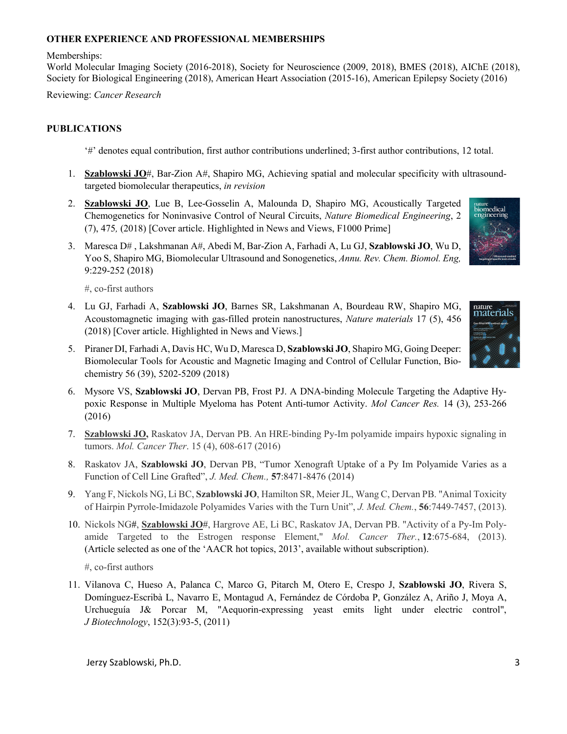# **OTHER EXPERIENCE AND PROFESSIONAL MEMBERSHIPS**

#### Memberships:

World Molecular Imaging Society (2016-2018), Society for Neuroscience (2009, 2018), BMES (2018), AIChE (2018), Society for Biological Engineering (2018), American Heart Association (2015-16), American Epilepsy Society (2016)

Reviewing: *Cancer Research*

## **PUBLICATIONS**

'#' denotes equal contribution, first author contributions underlined; 3-first author contributions, 12 total.

- 1. **Szablowski JO**#, Bar-Zion A#, Shapiro MG, Achieving spatial and molecular specificity with ultrasoundtargeted biomolecular therapeutics, *in revision*
- 2. **Szablowski JO**, Lue B, Lee-Gosselin A, Malounda D, Shapiro MG, Acoustically Targeted Chemogenetics for Noninvasive Control of Neural Circuits, *Nature Biomedical Engineering*, 2 (7), 475*,* (2018) [Cover article. Highlighted in News and Views, F1000 Prime]
- 3. Maresca D# , Lakshmanan A#, Abedi M, Bar-Zion A, Farhadi A, Lu GJ, **Szablowski JO**, Wu D, Yoo S, Shapiro MG, Biomolecular Ultrasound and Sonogenetics, *Annu. Rev. Chem. Biomol. Eng,*  9:229-252 (2018)

#, co-first authors

- 4. Lu GJ, Farhadi A, **Szablowski JO**, Barnes SR, Lakshmanan A, Bourdeau RW, Shapiro MG, Acoustomagnetic imaging with gas-filled protein nanostructures, *Nature materials* 17 (5), 456 (2018) [Cover article. Highlighted in News and Views.]
- 5. Piraner DI, Farhadi A, Davis HC, Wu D, Maresca D, **Szablowski JO**, Shapiro MG, Going Deeper: Biomolecular Tools for Acoustic and Magnetic Imaging and Control of Cellular Function, Biochemistry 56 (39), 5202-5209 (2018)
- 6. Mysore VS, **Szablowski JO**, Dervan PB, Frost PJ. A DNA-binding Molecule Targeting the Adaptive Hypoxic Response in Multiple Myeloma has Potent Anti-tumor Activity. *Mol Cancer Res.* 14 (3), 253-266 (2016)
- 7. **Szablowski JO,** Raskatov JA, Dervan PB. An HRE-binding Py-Im polyamide impairs hypoxic signaling in tumors. *Mol. Cancer Ther*. 15 (4), 608-617 (2016)
- 8. Raskatov JA, **Szablowski JO**, Dervan PB, "Tumor Xenograft Uptake of a Py Im Polyamide Varies as a Function of Cell Line Grafted", *J. Med. Chem.,* **57**:8471-8476 (2014)
- 9. Yang F, Nickols NG, Li BC, **Szablowski JO**, Hamilton SR, Meier JL, Wang C, Dervan PB. "Animal Toxicity of Hairpin Pyrrole-Imidazole Polyamides Varies with the Turn Unit", *J. Med. Chem.*, **56**:7449-7457, (2013).
- 10. Nickols NG**#**, **Szablowski JO**#, Hargrove AE, Li BC, Raskatov JA, Dervan PB. "Activity of a Py-Im Polyamide Targeted to the Estrogen response Element," *Mol. Cancer Ther.*, **12**:675-684, (2013). (Article selected as one of the 'AACR hot topics, 2013', available without subscription).

#, co-first authors

11. Vilanova C, Hueso A, Palanca C, Marco G, Pitarch M, Otero E, Crespo J, **Szablowski JO**, Rivera S, Domínguez-Escribà L, Navarro E, Montagud A, Fernández de Córdoba P, González A, Ariño J, Moya A, Urchueguía J& Porcar M, "Aequorin-expressing yeast emits light under electric control", *J Biotechnology*, 152(3):93-5, (2011)

Jerzy Szablowski, Ph.D. 3



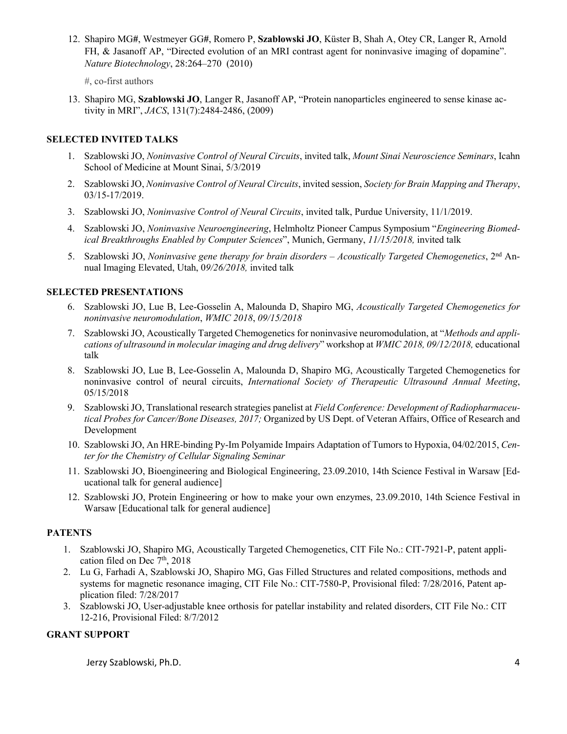12. Shapiro MG**#**, Westmeyer GG**#**, Romero P, **Szablowski JO**, Küster B, Shah A, Otey CR, Langer R, Arnold FH, & Jasanoff AP, "Directed evolution of an MRI contrast agent for noninvasive imaging of dopamine". *Nature Biotechnology*, 28:264–270 (2010)

#, co-first authors

13. Shapiro MG, **Szablowski JO**, Langer R, Jasanoff AP, "Protein nanoparticles engineered to sense kinase activity in MRI", *JACS*, 131(7):2484-2486, (2009)

## **SELECTED INVITED TALKS**

- 1. Szablowski JO, *Noninvasive Control of Neural Circuits*, invited talk, *Mount Sinai Neuroscience Seminars*, Icahn School of Medicine at Mount Sinai, 5/3/2019
- 2. Szablowski JO, *Noninvasive Control of Neural Circuits*, invited session, *Society for Brain Mapping and Therapy*, 03/15-17/2019.
- 3. Szablowski JO, *Noninvasive Control of Neural Circuits*, invited talk, Purdue University, 11/1/2019.
- 4. Szablowski JO, *Noninvasive Neuroengineering*, Helmholtz Pioneer Campus Symposium "*Engineering Biomedical Breakthroughs Enabled by Computer Sciences*", Munich, Germany, *11/15/2018,* invited talk
- 5. Szablowski JO, *Noninvasive gene therapy for brain disorders – Acoustically Targeted Chemogenetics*, 2nd Annual Imaging Elevated, Utah, 0*9/26/2018,* invited talk

# **SELECTED PRESENTATIONS**

- 6. Szablowski JO, Lue B, Lee-Gosselin A, Malounda D, Shapiro MG, *Acoustically Targeted Chemogenetics for noninvasive neuromodulation*, *WMIC 2018*, *09/15/2018*
- 7. Szablowski JO, Acoustically Targeted Chemogenetics for noninvasive neuromodulation, at "*Methods and applications of ultrasound in molecular imaging and drug delivery*" workshop at *WMIC 2018, 09/12/2018,* educational talk
- 8. Szablowski JO, Lue B, Lee-Gosselin A, Malounda D, Shapiro MG, Acoustically Targeted Chemogenetics for noninvasive control of neural circuits, *International Society of Therapeutic Ultrasound Annual Meeting*, 05/15/2018
- 9. Szablowski JO, Translational research strategies panelist at *Field Conference: Development of Radiopharmaceutical Probes for Cancer/Bone Diseases, 2017;* Organized by US Dept. of Veteran Affairs, Office of Research and Development
- 10. Szablowski JO, An HRE-binding Py-Im Polyamide Impairs Adaptation of Tumors to Hypoxia, 04/02/2015, *Center for the Chemistry of Cellular Signaling Seminar*
- 11. Szablowski JO, Bioengineering and Biological Engineering, 23.09.2010, 14th Science Festival in Warsaw [Educational talk for general audience]
- 12. Szablowski JO, Protein Engineering or how to make your own enzymes, 23.09.2010, 14th Science Festival in Warsaw [Educational talk for general audience]

# **PATENTS**

- 1. Szablowski JO, Shapiro MG, Acoustically Targeted Chemogenetics, CIT File No.: CIT-7921-P, patent application filed on Dec  $7<sup>th</sup>$ , 2018
- 2. Lu G, Farhadi A, Szablowski JO, Shapiro MG, Gas Filled Structures and related compositions, methods and systems for magnetic resonance imaging, CIT File No.: CIT-7580-P, Provisional filed: 7/28/2016, Patent application filed: 7/28/2017
- 3. Szablowski JO, User-adjustable knee orthosis for patellar instability and related disorders, CIT File No.: CIT 12-216, Provisional Filed: 8/7/2012

# **GRANT SUPPORT**

Jerzy Szablowski, Ph.D. 4